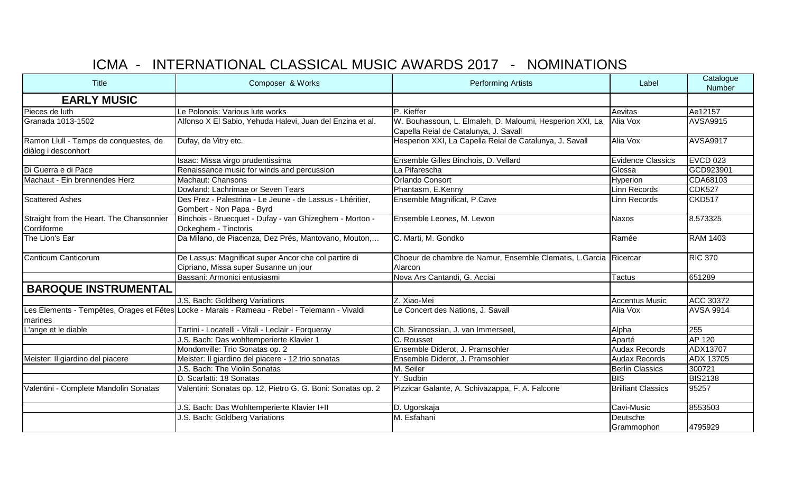## ICMA - INTERNATIONAL CLASSICAL MUSIC AWARDS 2017 - NOMINATIONS

| Title                                                        | Composer & Works                                                                              | <b>Performing Artists</b>                                                                         | Label                     | Catalogue<br>Number |
|--------------------------------------------------------------|-----------------------------------------------------------------------------------------------|---------------------------------------------------------------------------------------------------|---------------------------|---------------------|
| <b>EARLY MUSIC</b>                                           |                                                                                               |                                                                                                   |                           |                     |
| Pieces de luth                                               | Le Polonois: Various lute works                                                               | P. Kieffer                                                                                        | Aevitas                   | Ae12157             |
| Granada 1013-1502                                            | Alfonso X El Sabio, Yehuda Halevi, Juan del Enzina et al.                                     | W. Bouhassoun, L. Elmaleh, D. Maloumi, Hesperion XXI, La<br>Capella Reial de Catalunya, J. Savall | Alia Vox                  | <b>AVSA9915</b>     |
| Ramon Llull - Temps de conquestes, de<br>diàlog i desconhort | Dufay, de Vitry etc.                                                                          | Hesperion XXI, La Capella Reial de Catalunya, J. Savall                                           | Alia Vox                  | <b>AVSA9917</b>     |
|                                                              | Isaac: Missa virgo prudentissima                                                              | Ensemble Gilles Binchois, D. Vellard                                                              | Evidence Classics         | <b>EVCD 023</b>     |
| Di Guerra e di Pace                                          | Renaissance music for winds and percussion                                                    | La Pifarescha                                                                                     | Glossa                    | GCD923901           |
| Machaut - Ein brennendes Herz                                | Machaut: Chansons                                                                             | Orlando Consort                                                                                   | Hyperion                  | CDA68103            |
|                                                              | Dowland: Lachrimae or Seven Tears                                                             | Phantasm, E.Kenny                                                                                 | Linn Records              | <b>CDK527</b>       |
| <b>Scattered Ashes</b>                                       | Des Prez - Palestrina - Le Jeune - de Lassus - Lhéritier,<br>Gombert - Non Papa - Byrd        | Ensemble Magnificat, P.Cave                                                                       | Linn Records              | <b>CKD517</b>       |
| Straight from the Heart. The Chansonnier<br>Cordiforme       | Binchois - Bruecquet - Dufay - van Ghizeghem - Morton -<br>Ockeghem - Tinctoris               | Ensemble Leones, M. Lewon                                                                         | Naxos                     | 8.573325            |
| The Lion's Ear                                               | Da Milano, de Piacenza, Dez Prés, Mantovano, Mouton,                                          | C. Marti, M. Gondko                                                                               | Ramée                     | <b>RAM 1403</b>     |
| Canticum Canticorum                                          | De Lassus: Magnificat super Ancor che col partire di<br>Cipriano, Missa super Susanne un jour | Choeur de chambre de Namur, Ensemble Clematis, L.Garcia Ricercar<br>Alarcon                       |                           | <b>RIC 370</b>      |
|                                                              | Bassani: Armonici entusiasmi                                                                  | Nova Ars Cantandi, G. Acciai                                                                      | <b>Tactus</b>             | 651289              |
| <b>BAROQUE INSTRUMENTAL</b>                                  |                                                                                               |                                                                                                   |                           |                     |
|                                                              | J.S. Bach: Goldberg Variations                                                                | Z. Xiao-Mei                                                                                       | <b>Accentus Music</b>     | <b>ACC 30372</b>    |
| marines                                                      | Les Elements - Tempêtes, Orages et Fêtes Locke - Marais - Rameau - Rebel - Telemann - Vivaldi | Le Concert des Nations, J. Savall                                                                 | Alia Vox                  | <b>AVSA 9914</b>    |
| L'ange et le diable                                          | Tartini - Locatelli - Vitali - Leclair - Forqueray                                            | Ch. Siranossian, J. van Immerseel,                                                                | Alpha                     | 255                 |
|                                                              | J.S. Bach: Das wohltemperierte Klavier 1                                                      | C. Rousset                                                                                        | Aparté                    | AP 120              |
|                                                              | Mondonville: Trio Sonatas op. 2                                                               | Ensemble Diderot, J. Pramsohler                                                                   | <b>Audax Records</b>      | ADX13707            |
| Meister: Il giardino del piacere                             | Meister: Il giardino del piacere - 12 trio sonatas                                            | Ensemble Diderot, J. Pramsohler                                                                   | <b>Audax Records</b>      | <b>ADX 13705</b>    |
|                                                              | J.S. Bach: The Violin Sonatas                                                                 | M. Seiler                                                                                         | <b>Berlin Classics</b>    | 300721              |
|                                                              | D. Scarlatti: 18 Sonatas                                                                      | Y. Sudbin                                                                                         | <b>BIS</b>                | <b>BIS2138</b>      |
| Valentini - Complete Mandolin Sonatas                        | Valentini: Sonatas op. 12, Pietro G. G. Boni: Sonatas op. 2                                   | Pizzicar Galante, A. Schivazappa, F. A. Falcone                                                   | <b>Brilliant Classics</b> | 95257               |
|                                                              | J.S. Bach: Das Wohltemperierte Klavier I+II                                                   | D. Ugorskaja                                                                                      | Cavi-Music                | 8553503             |
|                                                              | J.S. Bach: Goldberg Variations                                                                | M. Esfahani                                                                                       | Deutsche<br>Grammophon    | 4795929             |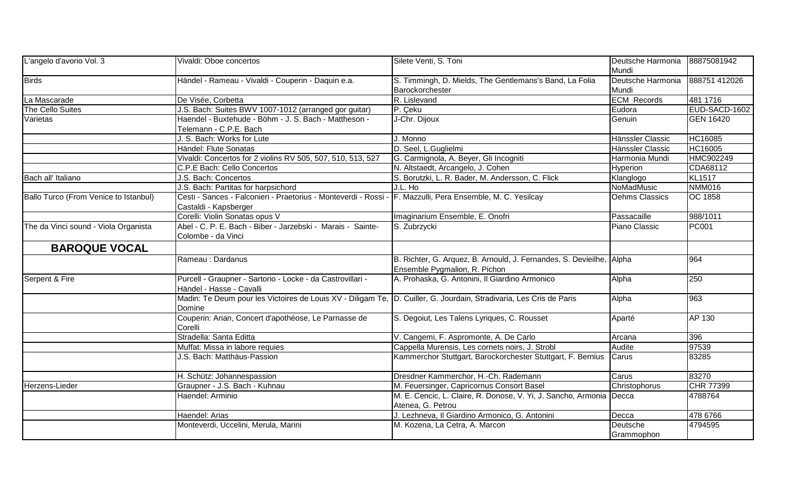| Deutsche Harmonia 888751 412026                                            |
|----------------------------------------------------------------------------|
|                                                                            |
| 481 1716                                                                   |
| EUD-SACD-1602                                                              |
| <b>GEN 16420</b>                                                           |
|                                                                            |
| HC16085                                                                    |
| HC16005                                                                    |
| HMC902249                                                                  |
|                                                                            |
|                                                                            |
| <b>NMM016</b>                                                              |
| <b>OC 1858</b>                                                             |
|                                                                            |
|                                                                            |
|                                                                            |
|                                                                            |
|                                                                            |
|                                                                            |
|                                                                            |
|                                                                            |
|                                                                            |
|                                                                            |
|                                                                            |
|                                                                            |
|                                                                            |
|                                                                            |
|                                                                            |
|                                                                            |
|                                                                            |
|                                                                            |
|                                                                            |
|                                                                            |
|                                                                            |
|                                                                            |
|                                                                            |
| CDA68112<br>988/1011<br><b>CHR 77399</b><br>4788764<br>478 6766<br>4794595 |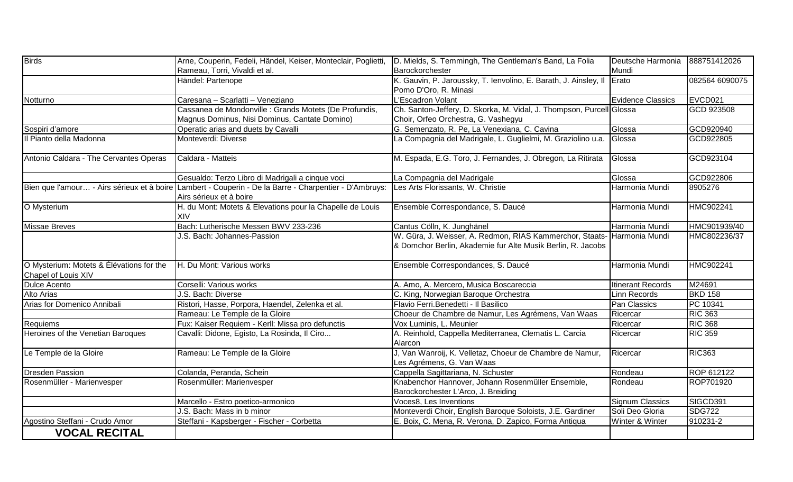| <b>Birds</b>                                                    | Arne, Couperin, Fedeli, Händel, Keiser, Monteclair, Poglietti,                                                                    | D. Mields, S. Temmingh, The Gentleman's Band, La Folia                                                                                 | Deutsche Harmonia        | 888751412026   |
|-----------------------------------------------------------------|-----------------------------------------------------------------------------------------------------------------------------------|----------------------------------------------------------------------------------------------------------------------------------------|--------------------------|----------------|
|                                                                 | Rameau, Torri, Vivaldi et al.                                                                                                     | Barockorchester                                                                                                                        | Mundi                    |                |
|                                                                 | Händel: Partenope                                                                                                                 | K. Gauvin, P. Jaroussky, T. Ienvolino, E. Barath, J. Ainsley, II Erato                                                                 |                          | 082564 6090075 |
|                                                                 |                                                                                                                                   | Pomo D'Oro, R. Minasi                                                                                                                  |                          |                |
| Notturno                                                        | Caresana - Scarlatti - Veneziano                                                                                                  | L'Escadron Volant                                                                                                                      | <b>Evidence Classics</b> | EVCD021        |
|                                                                 | Cassanea de Mondonville : Grands Motets (De Profundis,                                                                            | Ch. Santon-Jeffery, D. Skorka, M. Vidal, J. Thompson, Purcell Glossa                                                                   |                          | GCD 923508     |
|                                                                 | Magnus Dominus, Nisi Dominus, Cantate Domino)                                                                                     | Choir, Orfeo Orchestra, G. Vashegyu                                                                                                    |                          |                |
| Sospiri d'amore                                                 | Operatic arias and duets by Cavalli                                                                                               | G. Semenzato, R. Pe, La Venexiana, C. Cavina                                                                                           | Glossa                   | GCD920940      |
| Il Pianto della Madonna                                         | Monteverdi: Diverse                                                                                                               | La Compagnia del Madrigale, L. Guglielmi, M. Graziolino u.a.                                                                           | Glossa                   | GCD922805      |
| Antonio Caldara - The Cervantes Operas                          | Caldara - Matteis                                                                                                                 | M. Espada, E.G. Toro, J. Fernandes, J. Obregon, La Ritirata                                                                            | Glossa                   | GCD923104      |
|                                                                 |                                                                                                                                   |                                                                                                                                        |                          |                |
|                                                                 | Gesualdo: Terzo Libro di Madrigali a cinque voci                                                                                  | La Compagnia del Madrigale                                                                                                             | Glossa                   | GCD922806      |
|                                                                 | Bien que l'amour - Airs sérieux et à boire Lambert - Couperin - De la Barre - Charpentier - D'Ambruys:<br>Airs sérieux et à boire | Les Arts Florissants, W. Christie                                                                                                      | Harmonia Mundi           | 8905276        |
| O Mysterium                                                     | H. du Mont: Motets & Elevations pour la Chapelle de Louis<br>XIV                                                                  | Ensemble Correspondance, S. Daucé                                                                                                      | Harmonia Mundi           | HMC902241      |
| <b>Missae Breves</b>                                            | Bach: Lutherische Messen BWV 233-236                                                                                              | Cantus Cölln, K. Junghänel                                                                                                             | Harmonia Mundi           | HMC901939/40   |
|                                                                 | J.S. Bach: Johannes-Passion                                                                                                       | W. Güra, J. Weisser, A. Redmon, RIAS Kammerchor, Staats- Harmonia Mundi<br>& Domchor Berlin, Akademie fur Alte Musik Berlin, R. Jacobs |                          | HMC802236/37   |
| O Mysterium: Motets & Élévations for the<br>Chapel of Louis XIV | H. Du Mont: Various works                                                                                                         | Ensemble Correspondances, S. Daucé                                                                                                     | Harmonia Mundi           | HMC902241      |
| Dulce Acento                                                    | Corselli: Various works                                                                                                           | A. Amo, A. Mercero, Musica Boscareccia                                                                                                 | <b>Itinerant Records</b> | M24691         |
| Alto Arias                                                      | J.S. Bach: Diverse                                                                                                                | C. King, Norwegian Baroque Orchestra                                                                                                   | Linn Records             | <b>BKD 158</b> |
| Arias for Domenico Annibali                                     | Ristori, Hasse, Porpora, Haendel, Zelenka et al.                                                                                  | Flavio Ferri.Benedetti - Il Basilico                                                                                                   | Pan Classics             | PC 10341       |
|                                                                 | Rameau: Le Temple de la Gloire                                                                                                    | Choeur de Chambre de Namur, Les Agrémens, Van Waas                                                                                     | Ricercar                 | <b>RIC 363</b> |
| Requiems                                                        | Fux: Kaiser Requiem - Kerll: Missa pro defunctis                                                                                  | Vox Luminis, L. Meunier                                                                                                                | Ricercar                 | <b>RIC 368</b> |
| Heroines of the Venetian Baroques                               | Cavalli: Didone, Egisto, La Rosinda, Il Ciro                                                                                      | A. Reinhold, Cappella Mediterranea, Clematis L. Carcia<br>Alarcon                                                                      | Ricercar                 | <b>RIC 359</b> |
| Le Temple de la Gloire                                          | Rameau: Le Temple de la Gloire                                                                                                    | J, Van Wanroij, K. Velletaz, Choeur de Chambre de Namur,<br>Les Agrémens, G. Van Waas                                                  | Ricercar                 | <b>RIC363</b>  |
| <b>Dresden Passion</b>                                          | Colanda, Peranda, Schein                                                                                                          | Cappella Sagittariana, N. Schuster                                                                                                     | Rondeau                  | ROP 612122     |
| Rosenmüller - Marienvesper                                      | Rosenmüller: Marienvesper                                                                                                         | Knabenchor Hannover, Johann Rosenmüller Ensemble,<br>Barockorchester L'Arco, J. Breiding                                               | Rondeau                  | ROP701920      |
|                                                                 | Marcello - Estro poetico-armonico                                                                                                 | Voces8, Les Inventions                                                                                                                 | <b>Signum Classics</b>   | SIGCD391       |
|                                                                 | J.S. Bach: Mass in b minor                                                                                                        | Monteverdi Choir, English Baroque Soloists, J.E. Gardiner                                                                              | Soli Deo Gloria          | <b>SDG722</b>  |
| Agostino Steffani - Crudo Amor                                  | Steffani - Kapsberger - Fischer - Corbetta                                                                                        | E. Boix, C. Mena, R. Verona, D. Zapico, Forma Antiqua                                                                                  | Winter & Winter          | 910231-2       |
| <b>VOCAL RECITAL</b>                                            |                                                                                                                                   |                                                                                                                                        |                          |                |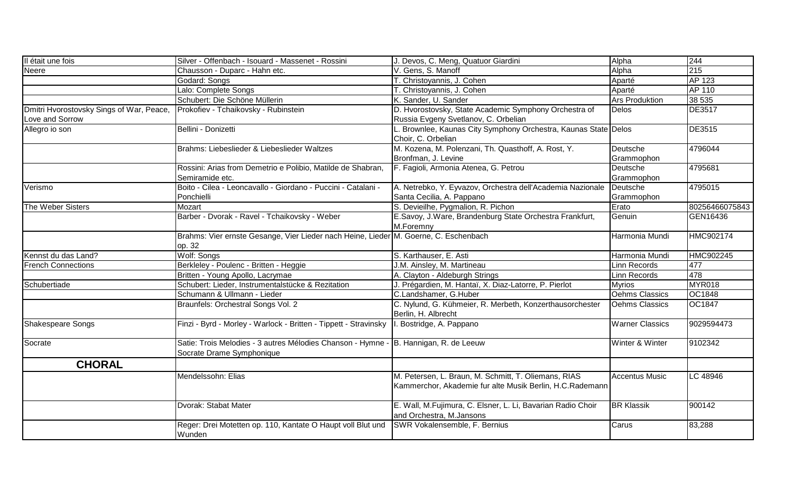| Il était une fois                                           | Silver - Offenbach - Isouard - Massenet - Rossini                                                                 | J. Devos, C. Meng, Quatuor Giardini                                                                              | Alpha                  | 244            |
|-------------------------------------------------------------|-------------------------------------------------------------------------------------------------------------------|------------------------------------------------------------------------------------------------------------------|------------------------|----------------|
| Neere                                                       | Chausson - Duparc - Hahn etc.                                                                                     | V. Gens, S. Manoff                                                                                               | Alpha                  | 215            |
|                                                             | Godard: Songs                                                                                                     | T. Christoyannis, J. Cohen                                                                                       | Aparté                 | AP 123         |
|                                                             | Lalo: Complete Songs                                                                                              | T. Christoyannis, J. Cohen                                                                                       | Aparté                 | AP 110         |
|                                                             | Schubert: Die Schöne Müllerin                                                                                     | K. Sander, U. Sander                                                                                             | <b>Ars Produktion</b>  | 38 535         |
| Dmitri Hvorostovsky Sings of War, Peace,<br>Love and Sorrow | Prokofiev - Tchaikovsky - Rubinstein                                                                              | D. Hvorostovsky, State Academic Symphony Orchestra of<br>Russia Evgeny Svetlanov, C. Orbelian                    | <b>Delos</b>           | DE3517         |
| Allegro io son                                              | Bellini - Donizetti                                                                                               | Brownlee, Kaunas City Symphony Orchestra, Kaunas State Delos<br>Choir, C. Orbelian                               |                        | <b>DE3515</b>  |
|                                                             | Brahms: Liebeslieder & Liebeslieder Waltzes                                                                       | M. Kozena, M. Polenzani, Th. Quasthoff, A. Rost, Y.<br>Bronfman, J. Levine                                       | Deutsche<br>Grammophon | 4796044        |
|                                                             | Rossini: Arias from Demetrio e Polibio, Matilde de Shabran,<br>Semiramide etc.                                    | F. Fagioli, Armonia Atenea, G. Petrou                                                                            | Deutsche<br>Grammophon | 4795681        |
| Verismo                                                     | Boito - Cilea - Leoncavallo - Giordano - Puccini - Catalani -<br>Ponchielli                                       | A. Netrebko, Y. Eyvazov, Orchestra dell'Academia Nazionale<br>Santa Cecilia, A. Pappano                          | Deutsche<br>Grammophon | 4795015        |
| The Weber Sisters                                           | Mozart                                                                                                            | S. Devieilhe, Pygmalion, R. Pichon                                                                               | Erato                  | 80256466075843 |
|                                                             | Barber - Dvorak - Ravel - Tchaikovsky - Weber                                                                     | E.Savoy, J.Ware, Brandenburg State Orchestra Frankfurt,<br>M.Foremny                                             | Genuin                 | GEN16436       |
|                                                             | Brahms: Vier ernste Gesange, Vier Lieder nach Heine, Lieder M. Goerne, C. Eschenbach<br>op. 32                    |                                                                                                                  | Harmonia Mundi         | HMC902174      |
| Kennst du das Land?                                         | Wolf: Songs                                                                                                       | S. Karthauser, E. Asti                                                                                           | Harmonia Mundi         | HMC902245      |
| <b>French Connections</b>                                   | Berkleley - Poulenc - Britten - Heggie                                                                            | J.M. Ainsley, M. Martineau                                                                                       | <b>Linn Records</b>    | 477            |
|                                                             | Britten - Young Apollo, Lacrymae                                                                                  | A. Clayton - Aldeburgh Strings                                                                                   | Linn Records           | 478            |
| Schubertiade                                                | Schubert: Lieder, Instrumentalstücke & Rezitation                                                                 | J. Prégardien, M. Hantaï, X. Diaz-Latorre, P. Pierlot                                                            | <b>Myrios</b>          | MYR018         |
|                                                             | Schumann & Ullmann - Lieder                                                                                       | C.Landshamer, G.Huber                                                                                            | Oehms Classics         | <b>OC1848</b>  |
|                                                             | Braunfels: Orchestral Songs Vol. 2                                                                                | C. Nylund, G. Kühmeier, R. Merbeth, Konzerthausorchester<br>Berlin, H. Albrecht                                  | <b>Oehms Classics</b>  | <b>OC1847</b>  |
| Shakespeare Songs                                           | Finzi - Byrd - Morley - Warlock - Britten - Tippett - Stravinsky                                                  | I. Bostridge, A. Pappano                                                                                         | <b>Warner Classics</b> | 9029594473     |
| Socrate                                                     | Satie: Trois Melodies - 3 autres Mélodies Chanson - Hymne - B. Hannigan, R. de Leeuw<br>Socrate Drame Symphonique |                                                                                                                  | Winter & Winter        | 9102342        |
| <b>CHORAL</b>                                               |                                                                                                                   |                                                                                                                  |                        |                |
|                                                             | Mendelssohn: Elias                                                                                                | M. Petersen, L. Braun, M. Schmitt, T. Oliemans, RIAS<br>Kammerchor, Akademie fur alte Musik Berlin, H.C.Rademann | <b>Accentus Music</b>  | LC 48946       |
|                                                             | Dvorak: Stabat Mater                                                                                              | E. Wall, M.Fujimura, C. Elsner, L. Li, Bavarian Radio Choir<br>and Orchestra, M.Jansons                          | <b>BR Klassik</b>      | 900142         |
|                                                             | Reger: Drei Motetten op. 110, Kantate O Haupt voll Blut und<br>Wunden                                             | SWR Vokalensemble, F. Bernius                                                                                    | Carus                  | 83,288         |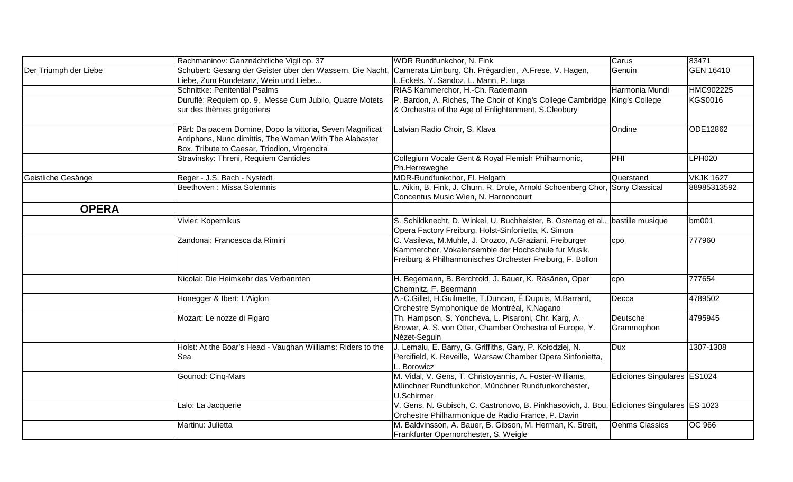|                       | Rachmaninov: Ganznächtliche Vigil op. 37                                                                                                                            | WDR Rundfunkchor, N. Fink                                                                                                                                                   | Carus                       | 83471            |
|-----------------------|---------------------------------------------------------------------------------------------------------------------------------------------------------------------|-----------------------------------------------------------------------------------------------------------------------------------------------------------------------------|-----------------------------|------------------|
| Der Triumph der Liebe | Schubert: Gesang der Geister über den Wassern, Die Nacht,                                                                                                           | Camerata Limburg, Ch. Prégardien, A. Frese, V. Hagen,                                                                                                                       | Genuin                      | <b>GEN 16410</b> |
|                       | Liebe, Zum Rundetanz, Wein und Liebe                                                                                                                                | L.Eckels, Y. Sandoz, L. Mann, P. luga                                                                                                                                       |                             |                  |
|                       | Schnittke: Penitential Psalms                                                                                                                                       | RIAS Kammerchor, H.-Ch. Rademann                                                                                                                                            | Harmonia Mundi              | HMC902225        |
|                       | Duruflé: Requiem op. 9, Messe Cum Jubilo, Quatre Motets                                                                                                             | P. Bardon, A. Riches, The Choir of King's College Cambridge King's College                                                                                                  |                             | <b>KGS0016</b>   |
|                       | sur des thèmes grégoriens                                                                                                                                           | & Orchestra of the Age of Enlightenment, S.Cleobury                                                                                                                         |                             |                  |
|                       | Pärt: Da pacem Domine, Dopo la vittoria, Seven Magnificat<br>Antiphons, Nunc dimittis, The Woman With The Alabaster<br>Box, Tribute to Caesar, Triodion, Virgencita | Latvian Radio Choir, S. Klava                                                                                                                                               | Ondine                      | ODE12862         |
|                       | Stravinsky: Threni, Requiem Canticles                                                                                                                               | Collegium Vocale Gent & Royal Flemish Philharmonic,<br>Ph.Herreweghe                                                                                                        | $\overline{PHI}$            | <b>LPH020</b>    |
| Geistliche Gesänge    | Reger - J.S. Bach - Nystedt                                                                                                                                         | MDR-Rundfunkchor, Fl. Helgath                                                                                                                                               | Querstand                   | <b>VKJK 1627</b> |
|                       | Beethoven : Missa Solemnis                                                                                                                                          | L. Aikin, B. Fink, J. Chum, R. Drole, Arnold Schoenberg Chor, Sony Classical<br>Concentus Music Wien, N. Harnoncourt                                                        |                             | 88985313592      |
| <b>OPERA</b>          |                                                                                                                                                                     |                                                                                                                                                                             |                             |                  |
|                       | Vivier: Kopernikus                                                                                                                                                  | S. Schildknecht, D. Winkel, U. Buchheister, B. Ostertag et al.<br>Opera Factory Freiburg, Holst-Sinfonietta, K. Simon                                                       | bastille musique            | bm001            |
|                       | Zandonai: Francesca da Rimini                                                                                                                                       | C. Vasileva, M.Muhle, J. Orozco, A.Graziani, Freiburger<br>Kammerchor, Vokalensemble der Hochschule fur Musik,<br>Freiburg & Philharmonisches Orchester Freiburg, F. Bollon | cpo                         | 777960           |
|                       | Nicolai: Die Heimkehr des Verbannten                                                                                                                                | H. Begemann, B. Berchtold, J. Bauer, K. Räsänen, Oper<br>Chemnitz, F. Beermann                                                                                              | cpo                         | 777654           |
|                       | Honegger & Ibert: L'Aiglon                                                                                                                                          | A.-C.Gillet, H.Guilmette, T.Duncan, É.Dupuis, M.Barrard,<br>Orchestre Symphonique de Montréal, K.Nagano                                                                     | Decca                       | 4789502          |
|                       | Mozart: Le nozze di Figaro                                                                                                                                          | Th. Hampson, S. Yoncheva, L. Pisaroni, Chr. Karg, A.<br>Brower, A. S. von Otter, Chamber Orchestra of Europe, Y.<br>Nézet-Seguin                                            | Deutsche<br>Grammophon      | 4795945          |
|                       | Holst: At the Boar's Head - Vaughan Williams: Riders to the<br>Sea                                                                                                  | J. Lemalu, E. Barry, G. Griffiths, Gary, P. Kołodziej, N.<br>Percifield, K. Reveille, Warsaw Chamber Opera Sinfonietta,<br>L. Borowicz                                      | <b>Dux</b>                  | 1307-1308        |
|                       | Gounod: Cinq-Mars                                                                                                                                                   | M. Vidal, V. Gens, T. Christoyannis, A. Foster-Williams,<br>Münchner Rundfunkchor, Münchner Rundfunkorchester,<br>U.Schirmer                                                | Ediciones Singulares ES1024 |                  |
|                       | Lalo: La Jacquerie                                                                                                                                                  | V. Gens, N. Gubisch, C. Castronovo, B. Pinkhasovich, J. Bou, Ediciones Singulares ES 1023<br>Orchestre Philharmonique de Radio France, P. Davin                             |                             |                  |
|                       | Martinu: Julietta                                                                                                                                                   | M. Baldvinsson, A. Bauer, B. Gibson, M. Herman, K. Streit,<br>Frankfurter Opernorchester, S. Weigle                                                                         | Oehms Classics              | <b>OC 966</b>    |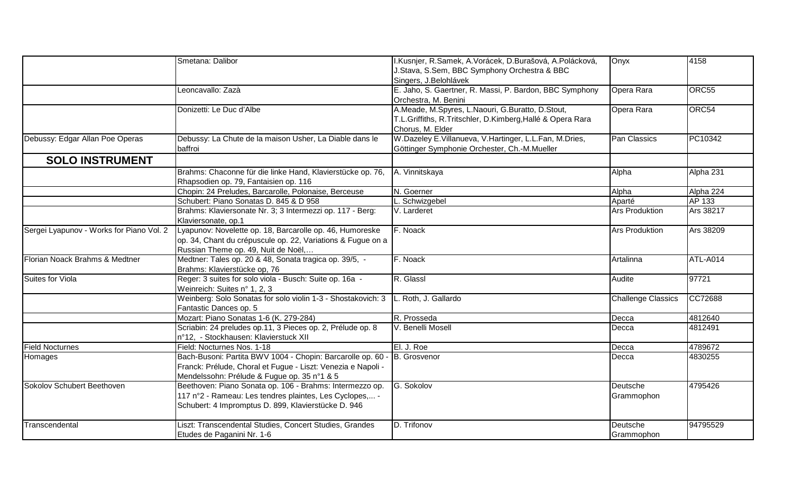|                                          | Smetana: Dalibor                                             | I.Kusnjer, R.Samek, A.Vorácek, D.Burašová, A.Polácková,    | Onyx                      | 4158      |
|------------------------------------------|--------------------------------------------------------------|------------------------------------------------------------|---------------------------|-----------|
|                                          |                                                              | J.Stava, S.Sem, BBC Symphony Orchestra & BBC               |                           |           |
|                                          |                                                              | Singers, J.Belohlávek                                      |                           |           |
|                                          | Leoncavallo: Zazà                                            | E. Jaho, S. Gaertner, R. Massi, P. Bardon, BBC Symphony    | Opera Rara                | ORC55     |
|                                          |                                                              | Orchestra, M. Benini                                       |                           |           |
|                                          | Donizetti: Le Duc d'Albe                                     | A.Meade, M.Spyres, L.Naouri, G.Buratto, D.Stout,           | Opera Rara                | ORC54     |
|                                          |                                                              | T.L.Griffiths, R.Tritschler, D.Kimberg, Hallé & Opera Rara |                           |           |
|                                          |                                                              | Chorus, M. Elder                                           |                           |           |
| Debussy: Edgar Allan Poe Operas          | Debussy: La Chute de la maison Usher, La Diable dans le      | W.Dazeley E.Villanueva, V.Hartinger, L.L.Fan, M.Dries,     | Pan Classics              | PC10342   |
|                                          | baffroi                                                      | Göttinger Symphonie Orchester, Ch.-M.Mueller               |                           |           |
| <b>SOLO INSTRUMENT</b>                   |                                                              |                                                            |                           |           |
|                                          | Brahms: Chaconne für die linke Hand, Klavierstücke op. 76,   | A. Vinnitskaya                                             | Alpha                     | Alpha 231 |
|                                          | Rhapsodien op. 79, Fantaisien op. 116                        |                                                            |                           |           |
|                                          | Chopin: 24 Preludes, Barcarolle, Polonaise, Berceuse         | N. Goerner                                                 | Alpha                     | Alpha 224 |
|                                          | Schubert: Piano Sonatas D. 845 & D 958                       | L. Schwizgebel                                             | Aparté                    | AP 133    |
|                                          | Brahms: Klaviersonate Nr. 3; 3 Intermezzi op. 117 - Berg:    | V. Larderet                                                | <b>Ars Produktion</b>     | Ars 38217 |
|                                          | Klaviersonate, op.1                                          |                                                            |                           |           |
| Sergei Lyapunov - Works for Piano Vol. 2 | Lyapunov: Novelette op. 18, Barcarolle op. 46, Humoreske     | F. Noack                                                   | <b>Ars Produktion</b>     | Ars 38209 |
|                                          | op. 34, Chant du crépuscule op. 22, Variations & Fugue on a  |                                                            |                           |           |
|                                          | Russian Theme op. 49, Nuit de Noël,                          |                                                            |                           |           |
| Florian Noack Brahms & Medtner           | Medtner: Tales op. 20 & 48, Sonata tragica op. 39/5, -       | F. Noack                                                   | Artalinna                 | ATL-A014  |
|                                          | Brahms: Klavierstücke op, 76                                 |                                                            |                           |           |
| <b>Suites for Viola</b>                  | Reger: 3 suites for solo viola - Busch: Suite op. 16a -      | R. Glassl                                                  | Audite                    | 97721     |
|                                          | Weinreich: Suites n° 1, 2, 3                                 |                                                            |                           |           |
|                                          | Weinberg: Solo Sonatas for solo violin 1-3 - Shostakovich: 3 | L. Roth, J. Gallardo                                       | <b>Challenge Classics</b> | CC72688   |
|                                          | Fantastic Dances op. 5                                       |                                                            |                           |           |
|                                          | Mozart: Piano Sonatas 1-6 (K. 279-284)                       | R. Prosseda                                                | Decca                     | 4812640   |
|                                          | Scriabin: 24 preludes op.11, 3 Pieces op. 2, Prélude op. 8   | V. Benelli Mosell                                          | Decca                     | 4812491   |
|                                          | n°12, - Stockhausen: Klavierstuck XII                        |                                                            |                           |           |
| <b>Field Nocturnes</b>                   | Field: Nocturnes Nos. 1-18                                   | El. J. Roe                                                 | Decca                     | 4789672   |
| Homages                                  | Bach-Busoni: Partita BWV 1004 - Chopin: Barcarolle op. 60 -  | <b>B.</b> Grosvenor                                        | Decca                     | 4830255   |
|                                          | Franck: Prélude, Choral et Fugue - Liszt: Venezia e Napoli - |                                                            |                           |           |
|                                          | Mendelssohn: Prélude & Fugue op. 35 n°1 & 5                  |                                                            |                           |           |
| Sokolov Schubert Beethoven               | Beethoven: Piano Sonata op. 106 - Brahms: Intermezzo op.     | G. Sokolov                                                 | Deutsche                  | 4795426   |
|                                          | 117 n°2 - Rameau: Les tendres plaintes, Les Cyclopes, -      |                                                            | Grammophon                |           |
|                                          | Schubert: 4 Impromptus D. 899, Klavierstücke D. 946          |                                                            |                           |           |
| Transcendental                           | Liszt: Transcendental Studies, Concert Studies, Grandes      | D. Trifonov                                                | Deutsche                  | 94795529  |
|                                          | Etudes de Paganini Nr. 1-6                                   |                                                            | Grammophon                |           |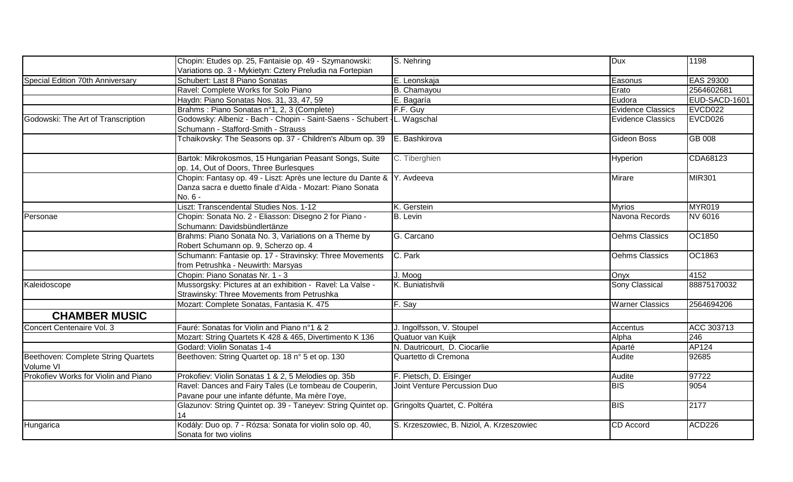|                                                  | Chopin: Etudes op. 25, Fantaisie op. 49 - Szymanowski:                              | S. Nehring                                | <b>Dux</b>               | 1198          |
|--------------------------------------------------|-------------------------------------------------------------------------------------|-------------------------------------------|--------------------------|---------------|
|                                                  | Variations op. 3 - Mykietyn: Cztery Preludia na Fortepian                           |                                           |                          |               |
| Special Edition 70th Anniversary                 | Schubert: Last 8 Piano Sonatas                                                      | E. Leonskaja                              | Easonus                  | EAS 29300     |
|                                                  | Ravel: Complete Works for Solo Piano                                                | B. Chamayou                               | Erato                    | 2564602681    |
|                                                  | Haydn: Piano Sonatas Nos. 31, 33, 47, 59                                            | E. Bagaría                                | Eudora                   | EUD-SACD-1601 |
|                                                  | Brahms: Piano Sonatas n°1, 2, 3 (Complete)                                          | F.F. Guy                                  | <b>Evidence Classics</b> | EVCD022       |
| Godowski: The Art of Transcription               | Godowsky: Albeniz - Bach - Chopin - Saint-Saens - Schubert - L. Wagschal            |                                           | <b>Evidence Classics</b> | EVCD026       |
|                                                  | Schumann - Stafford-Smith - Strauss                                                 |                                           |                          |               |
|                                                  | Tchaikovsky: The Seasons op. 37 - Children's Album op. 39                           | E. Bashkirova                             | Gideon Boss              | GB 008        |
|                                                  | Bartok: Mikrokosmos, 15 Hungarian Peasant Songs, Suite                              | C. Tiberghien                             | Hyperion                 | CDA68123      |
|                                                  | op. 14, Out of Doors, Three Burlesques                                              |                                           |                          |               |
|                                                  | Chopin: Fantasy op. 49 - Liszt: Après une lecture du Dante & Y. Avdeeva             |                                           | Mirare                   | <b>MIR301</b> |
|                                                  | Danza sacra e duetto finale d'Aïda - Mozart: Piano Sonata                           |                                           |                          |               |
|                                                  | No. 6 -                                                                             |                                           |                          |               |
|                                                  | Liszt: Transcendental Studies Nos. 1-12                                             | K. Gerstein                               | <b>Myrios</b>            | <b>MYR019</b> |
| Personae                                         | Chopin: Sonata No. 2 - Eliasson: Disegno 2 for Piano -                              | <b>B.</b> Levin                           | Navona Records           | NV 6016       |
|                                                  | Schumann: Davidsbündlertänze                                                        |                                           |                          |               |
|                                                  | Brahms: Piano Sonata No. 3, Variations on a Theme by                                | G. Carcano                                | Oehms Classics           | OC1850        |
|                                                  | Robert Schumann op. 9, Scherzo op. 4                                                |                                           |                          |               |
|                                                  | Schumann: Fantasie op. 17 - Stravinsky: Three Movements                             | C. Park                                   | Oehms Classics           | OC1863        |
|                                                  | from Petrushka - Neuwirth: Marsyas                                                  |                                           |                          |               |
|                                                  | Chopin: Piano Sonatas Nr. 1 - 3                                                     | J. Moog                                   | Onyx                     | 4152          |
| Kaleidoscope                                     | Mussorgsky: Pictures at an exhibition - Ravel: La Valse -                           | K. Buniatishvili                          | Sony Classical           | 88875170032   |
|                                                  | Strawinsky: Three Movements from Petrushka                                          |                                           |                          |               |
|                                                  | Mozart: Complete Sonatas, Fantasia K. 475                                           | F. Say                                    | <b>Warner Classics</b>   | 2564694206    |
| <b>CHAMBER MUSIC</b>                             |                                                                                     |                                           |                          |               |
| Concert Centenaire Vol. 3                        | Fauré: Sonatas for Violin and Piano n°1 & 2                                         | J. Ingolfsson, V. Stoupel                 | Accentus                 | ACC 303713    |
|                                                  | Mozart: String Quartets K 428 & 465, Divertimento K 136                             | Quatuor van Kuijk                         | Alpha                    | 246           |
|                                                  | Godard: Violin Sonatas 1-4                                                          | N. Dautricourt, D. Ciocarlie              | Aparté                   | AP124         |
| Beethoven: Complete String Quartets<br>Volume VI | Beethoven: String Quartet op. 18 n° 5 et op. 130                                    | Quartetto di Cremona                      | Audite                   | 92685         |
| Prokofiev Works for Violin and Piano             | Prokofiev: Violin Sonatas 1 & 2, 5 Melodies op. 35b                                 | F. Pietsch, D. Eisinger                   | Audite                   | 97722         |
|                                                  | Ravel: Dances and Fairy Tales (Le tombeau de Couperin,                              | Joint Venture Percussion Duo              | <b>BIS</b>               | 9054          |
|                                                  | Pavane pour une infante défunte, Ma mère l'oye,                                     |                                           |                          |               |
|                                                  | Glazunov: String Quintet op. 39 - Taneyev: String Quintet op.                       | Gringolts Quartet, C. Poltéra             | <b>BIS</b>               | 2177          |
|                                                  | 14                                                                                  |                                           |                          |               |
| Hungarica                                        | Kodály: Duo op. 7 - Rózsa: Sonata for violin solo op. 40,<br>Sonata for two violins | S. Krzeszowiec, B. Niziol, A. Krzeszowiec | <b>CD</b> Accord         | <b>ACD226</b> |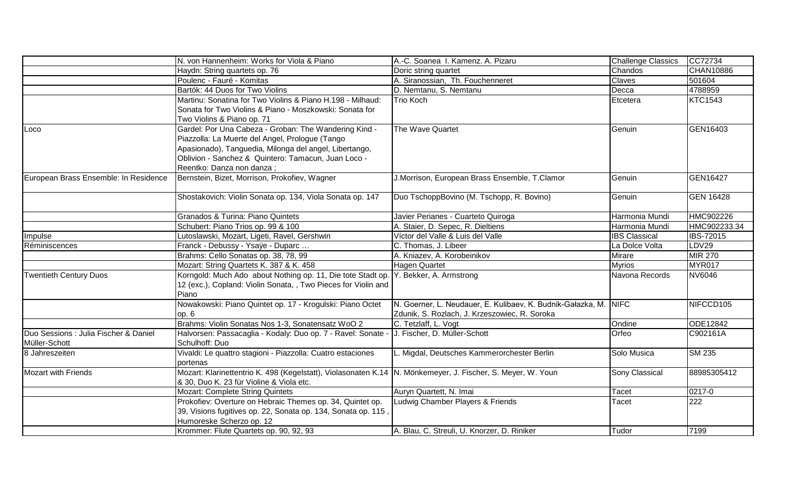|                                       | N. von Hannenheim: Works for Viola & Piano                                                                  | A.-C. Soanea I. Kamenz. A. Pizaru                                | <b>Challenge Classics</b> | CC72734          |
|---------------------------------------|-------------------------------------------------------------------------------------------------------------|------------------------------------------------------------------|---------------------------|------------------|
|                                       | Haydn: String quartets op. 76                                                                               | Doric string quartet                                             | Chandos                   | CHAN10886        |
|                                       | Poulenc - Fauré - Komitas                                                                                   | A. Siranossian, Th. Fouchenneret                                 | Claves                    | 501604           |
|                                       | Bartók: 44 Duos for Two Violins                                                                             | D. Nemtanu, S. Nemtanu                                           | Decca                     | 4788959          |
|                                       | Martinu: Sonatina for Two Violins & Piano H.198 - Milhaud:                                                  | Trio Koch                                                        | Etcetera                  | <b>KTC1543</b>   |
|                                       | Sonata for Two Violins & Piano - Moszkowski: Sonata for                                                     |                                                                  |                           |                  |
|                                       | Two Violins & Piano op. 71                                                                                  |                                                                  |                           |                  |
| Loco                                  | Gardel: Por Una Cabeza - Groban: The Wandering Kind -                                                       | The Wave Quartet                                                 | Genuin                    | GEN16403         |
|                                       | Piazzolla: La Muerte del Angel, Prologue (Tango                                                             |                                                                  |                           |                  |
|                                       | Apasionado), Tanguedia, Milonga del angel, Libertango,                                                      |                                                                  |                           |                  |
|                                       | Oblivion - Sanchez & Quintero: Tamacun, Juan Loco -                                                         |                                                                  |                           |                  |
|                                       | Reentko: Danza non danza ;                                                                                  |                                                                  |                           |                  |
| European Brass Ensemble: In Residence | Bernstein, Bizet, Morrison, Prokofiev, Wagner                                                               | J.Morrison, European Brass Ensemble, T.Clamor                    | <b>Genuin</b>             | <b>GEN16427</b>  |
|                                       |                                                                                                             |                                                                  |                           |                  |
|                                       | Shostakovich: Violin Sonata op. 134, Viola Sonata op. 147                                                   | Duo TschoppBovino (M. Tschopp, R. Bovino)                        | Genuin                    | <b>GEN 16428</b> |
|                                       |                                                                                                             |                                                                  |                           |                  |
|                                       | Granados & Turina: Piano Quintets                                                                           | Javier Perianes - Cuarteto Quiroga                               | Harmonia Mundi            | HMC902226        |
|                                       | Schubert: Piano Trios op. 99 & 100                                                                          | A. Staier, D. Sepec, R. Dieltiens                                | Harmonia Mundi            | HMC902233.34     |
| Impulse                               | Lutoslawski, Mozart, Ligeti, Ravel, Gershwin                                                                | Víctor del Valle & Luis del Valle                                | <b>IBS</b> Classical      | <b>IBS-72015</b> |
| Réminiscences                         | Franck - Debussy - Ysaÿe - Duparc                                                                           | C. Thomas, J. Libeer                                             | La Dolce Volta            | LDV29            |
|                                       | Brahms: Cello Sonatas op. 38, 78, 99                                                                        | A. Kniazev, A. Korobeinikov                                      | Mirare                    | <b>MIR 270</b>   |
|                                       | Mozart: String Quartets K. 387 & K. 458                                                                     | <b>Hagen Quartet</b>                                             | <b>Myrios</b>             | <b>MYR017</b>    |
| <b>Twentieth Century Duos</b>         | Korngold: Much Ado about Nothing op. 11, Die tote Stadt op.                                                 | Y. Bekker, A. Armstrong                                          | Navona Records            | <b>NV6046</b>    |
|                                       | 12 (exc.), Copland: Violin Sonata, , Two Pieces for Violin and                                              |                                                                  |                           |                  |
|                                       | Piano                                                                                                       |                                                                  |                           |                  |
|                                       | Nowakowski: Piano Quintet op. 17 - Krogulski: Piano Octet                                                   | N. Goerner, L. Neudauer, E. Kulibaev, K. Budnik-Gałazka, M. NIFC |                           | NIFCCD105        |
|                                       | op. 6                                                                                                       | Zdunik, S. Rozlach, J. Krzeszowiec, R. Soroka                    |                           |                  |
|                                       | Brahms: Violin Sonatas Nos 1-3, Sonatensatz WoO 2                                                           | C. Tetzlaff, L. Vogt                                             | Ondine                    | ODE12842         |
| Duo Sessions : Julia Fischer & Daniel | Halvorsen: Passacaglia - Kodaly: Duo op. 7 - Ravel: Sonate - J. Fischer, D. Müller-Schott                   |                                                                  | Orfeo                     | C902161A         |
| Müller-Schott                         | Schulhoff: Duo                                                                                              |                                                                  |                           |                  |
| 8 Jahreszeiten                        | Vivaldi: Le quattro stagioni - Piazzolla: Cuatro estaciones                                                 | L. Migdal, Deutsches Kammerorchester Berlin                      | Solo Musica               | <b>SM 235</b>    |
|                                       | portenas                                                                                                    |                                                                  |                           |                  |
| Mozart with Friends                   | Mozart: Klarinettentrio K. 498 (Kegelstatt), Violasonaten K.14 N. Mönkemeyer, J. Fischer, S. Meyer, W. Youn |                                                                  | Sony Classical            | 88985305412      |
|                                       | & 30, Duo K. 23 für Violine & Viola etc.                                                                    |                                                                  |                           |                  |
|                                       | <b>Mozart: Complete String Quintets</b>                                                                     | Auryn Quartett, N. Imai                                          | Tacet                     | 0217-0           |
|                                       | Prokofiev: Overture on Hebraic Themes op. 34, Quintet op.                                                   | Ludwig Chamber Players & Friends                                 | Tacet                     | 222              |
|                                       | 39, Visions fugitives op. 22, Sonata op. 134, Sonata op. 115,                                               |                                                                  |                           |                  |
|                                       | Humoreske Scherzo op. 12                                                                                    |                                                                  |                           |                  |
|                                       | Krommer: Flute Quartets op. 90, 92, 93                                                                      | A. Blau, C. Streuli, U. Knorzer, D. Riniker                      | Tudor                     | 7199             |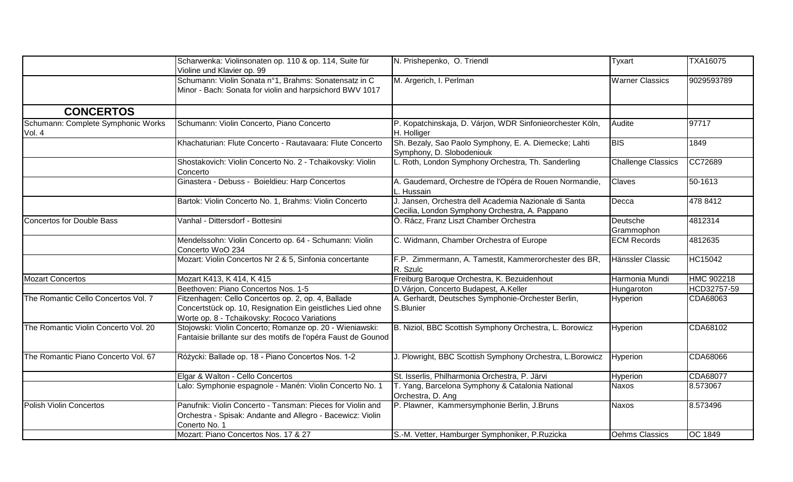|                                              | Scharwenka: Violinsonaten op. 110 & op. 114, Suite für<br>Violine und Klavier op. 99                                                                             | N. Prishepenko, O. Triendl                                                                              | Tyxart                    | <b>TXA16075</b> |
|----------------------------------------------|------------------------------------------------------------------------------------------------------------------------------------------------------------------|---------------------------------------------------------------------------------------------------------|---------------------------|-----------------|
|                                              | Schumann: Violin Sonata n°1, Brahms: Sonatensatz in C<br>Minor - Bach: Sonata for violin and harpsichord BWV 1017                                                | M. Argerich, I. Perlman                                                                                 | <b>Warner Classics</b>    | 9029593789      |
| <b>CONCERTOS</b>                             |                                                                                                                                                                  |                                                                                                         |                           |                 |
| Schumann: Complete Symphonic Works<br>Vol. 4 | Schumann: Violin Concerto, Piano Concerto                                                                                                                        | P. Kopatchinskaja, D. Várjon, WDR Sinfonieorchester Köln,<br>H. Holliger                                | Audite                    | 97717           |
|                                              | Khachaturian: Flute Concerto - Rautavaara: Flute Concerto                                                                                                        | Sh. Bezaly, Sao Paolo Symphony, E. A. Diemecke; Lahti<br>Symphony, D. Slobodeniouk                      | <b>BIS</b>                | 1849            |
|                                              | Shostakovich: Violin Concerto No. 2 - Tchaikovsky: Violin<br>Concerto                                                                                            | L. Roth, London Symphony Orchestra, Th. Sanderling                                                      | <b>Challenge Classics</b> | CC72689         |
|                                              | Ginastera - Debuss - Boieldieu: Harp Concertos                                                                                                                   | A. Gaudemard, Orchestre de l'Opéra de Rouen Normandie,<br>L. Hussain                                    | Claves                    | 50-1613         |
|                                              | Bartok: Violin Concerto No. 1, Brahms: Violin Concerto                                                                                                           | J. Jansen, Orchestra dell Academia Nazionale di Santa<br>Cecilia, London Symphony Orchestra, A. Pappano | Decca                     | 478 8412        |
| Concertos for Double Bass                    | Vanhal - Dittersdorf - Bottesini                                                                                                                                 | Ö. Rácz, Franz Liszt Chamber Orchestra                                                                  | Deutsche<br>Grammophon    | 4812314         |
|                                              | Mendelssohn: Violin Concerto op. 64 - Schumann: Violin<br>Concerto WoO 234                                                                                       | C. Widmann, Chamber Orchestra of Europe                                                                 | <b>ECM Records</b>        | 4812635         |
|                                              | Mozart: Violin Concertos Nr 2 & 5, Sinfonia concertante                                                                                                          | F.P. Zimmermann, A. Tamestit, Kammerorchester des BR,<br>R. Szulc                                       | Hänssler Classic          | <b>HC15042</b>  |
| <b>Mozart Concertos</b>                      | Mozart K413, K 414, K 415                                                                                                                                        | Freiburg Baroque Orchestra, K. Bezuidenhout                                                             | Harmonia Mundi            | HMC 902218      |
|                                              | Beethoven: Piano Concertos Nos. 1-5                                                                                                                              | D.Várjon, Concerto Budapest, A.Keller                                                                   | Hungaroton                | HCD32757-59     |
| The Romantic Cello Concertos Vol. 7          | Fitzenhagen: Cello Concertos op. 2, op. 4, Ballade<br>Concertstück op. 10, Resignation Ein geistliches Lied ohne<br>Worte op. 8 - Tchaikovsky: Rococo Variations | A. Gerhardt, Deutsches Symphonie-Orchester Berlin,<br>S.Blunier                                         | Hyperion                  | CDA68063        |
| The Romantic Violin Concerto Vol. 20         | Stojowski: Violin Concerto; Romanze op. 20 - Wieniawski:<br>Fantaisie brillante sur des motifs de l'opéra Faust de Gounod                                        | B. Niziol, BBC Scottish Symphony Orchestra, L. Borowicz                                                 | Hyperion                  | CDA68102        |
| The Romantic Piano Concerto Vol. 67          | Różycki: Ballade op. 18 - Piano Concertos Nos. 1-2                                                                                                               | J. Plowright, BBC Scottish Symphony Orchestra, L.Borowicz                                               | Hyperion                  | CDA68066        |
|                                              | Elgar & Walton - Cello Concertos                                                                                                                                 | St. Isserlis, Philharmonia Orchestra, P. Järvi                                                          | Hyperion                  | CDA68077        |
|                                              | Lalo: Symphonie espagnole - Manén: Violin Concerto No. 1                                                                                                         | T. Yang, Barcelona Symphony & Catalonia National<br>Orchestra, D. Ang                                   | <b>Naxos</b>              | 8.573067        |
| <b>Polish Violin Concertos</b>               | Panufnik: Violin Concerto - Tansman: Pieces for Violin and<br>Orchestra - Spisak: Andante and Allegro - Bacewicz: Violin<br>Conerto No. 1                        | P. Plawner, Kammersymphonie Berlin, J.Bruns                                                             | <b>Naxos</b>              | 8.573496        |
|                                              | Mozart: Piano Concertos Nos. 17 & 27                                                                                                                             | S.-M. Vetter, Hamburger Symphoniker, P.Ruzicka                                                          | Oehms Classics            | OC 1849         |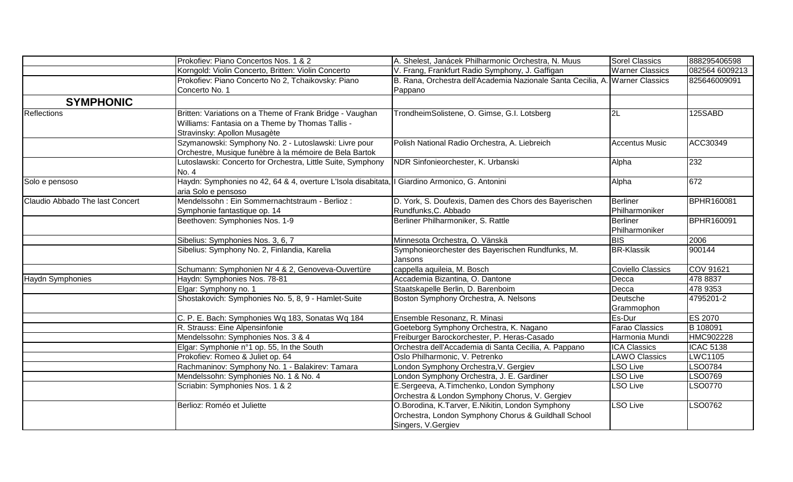|                                 | Prokofiev: Piano Concertos Nos. 1 & 2                                                           | A. Shelest, Janácek Philharmonic Orchestra, N. Muus                          | <b>Sorel Classics</b>    | 888295406598      |
|---------------------------------|-------------------------------------------------------------------------------------------------|------------------------------------------------------------------------------|--------------------------|-------------------|
|                                 | Korngold: Violin Concerto, Britten: Violin Concerto                                             | V. Frang, Frankfurt Radio Symphony, J. Gaffigan                              | <b>Warner Classics</b>   | 082564 6009213    |
|                                 | Prokofiev: Piano Concerto No 2, Tchaikovsky: Piano                                              | B. Rana, Orchestra dell'Academia Nazionale Santa Cecilia, A. Warner Classics |                          | 825646009091      |
|                                 | Concerto No. 1                                                                                  | Pappano                                                                      |                          |                   |
| <b>SYMPHONIC</b>                |                                                                                                 |                                                                              |                          |                   |
| Reflections                     | Britten: Variations on a Theme of Frank Bridge - Vaughan                                        | TrondheimSolistene, O. Gimse, G.I. Lotsberg                                  | 2L                       | 125SABD           |
|                                 | Williams: Fantasia on a Theme by Thomas Tallis -                                                |                                                                              |                          |                   |
|                                 | Stravinsky: Apollon Musagète                                                                    |                                                                              |                          |                   |
|                                 | Szymanowski: Symphony No. 2 - Lutoslawski: Livre pour                                           | Polish National Radio Orchestra, A. Liebreich                                | <b>Accentus Music</b>    | ACC30349          |
|                                 | Orchestre, Musique funèbre à la mémoire de Bela Bartok                                          |                                                                              |                          |                   |
|                                 | Lutoslawski: Concerto for Orchestra, Little Suite, Symphony                                     | NDR Sinfonieorchester, K. Urbanski                                           | Alpha                    | 232               |
|                                 | No. 4                                                                                           |                                                                              |                          |                   |
| Solo e pensoso                  | Haydn: Symphonies no 42, 64 & 4, overture L'Isola disabitata, Il Giardino Armonico, G. Antonini |                                                                              | Alpha                    | 672               |
|                                 | aria Solo e pensoso                                                                             |                                                                              |                          |                   |
| Claudio Abbado The last Concert | Mendelssohn: Ein Sommernachtstraum - Berlioz:                                                   | D. York, S. Doufexis, Damen des Chors des Bayerischen                        | <b>Berliner</b>          | BPHR160081        |
|                                 | Symphonie fantastique op. 14                                                                    | Rundfunks, C. Abbado                                                         | Philharmoniker           |                   |
|                                 | Beethoven: Symphonies Nos. 1-9                                                                  | Berliner Philharmoniker, S. Rattle                                           | Berliner                 | <b>BPHR160091</b> |
|                                 |                                                                                                 |                                                                              | Philharmoniker           |                   |
|                                 | Sibelius: Symphonies Nos. 3, 6, 7                                                               | Minnesota Orchestra, O. Vänskä                                               | <b>BIS</b>               | 2006              |
|                                 | Sibelius: Symphony No. 2, Finlandia, Karelia                                                    | Symphonieorchester des Bayerischen Rundfunks, M.                             | <b>BR-Klassik</b>        | 900144            |
|                                 |                                                                                                 | Jansons                                                                      |                          |                   |
|                                 | Schumann: Symphonien Nr 4 & 2, Genoveva-Ouvertüre                                               | cappella aquileia, M. Bosch                                                  | <b>Coviello Classics</b> | <b>COV 91621</b>  |
| Haydn Symphonies                | Haydn: Symphonies Nos. 78-81                                                                    | Accademia Bizantina, O. Dantone                                              | Decca                    | 478 8837          |
|                                 | Elgar: Symphony no. 1                                                                           | Staatskapelle Berlin, D. Barenboim                                           | Decca                    | 478 9353          |
|                                 | Shostakovich: Symphonies No. 5, 8, 9 - Hamlet-Suite                                             | Boston Symphony Orchestra, A. Nelsons                                        | Deutsche                 | 4795201-2         |
|                                 |                                                                                                 |                                                                              | Grammophon               |                   |
|                                 | C. P. E. Bach: Symphonies Wq 183, Sonatas Wq 184                                                | Ensemble Resonanz, R. Minasi                                                 | Es-Dur                   | ES 2070           |
|                                 | R. Strauss: Eine Alpensinfonie                                                                  | Goeteborg Symphony Orchestra, K. Nagano                                      | <b>Farao Classics</b>    | B 108091          |
|                                 | Mendelssohn: Symphonies Nos. 3 & 4                                                              | Freiburger Barockorchester, P. Heras-Casado                                  | Harmonia Mundi           | HMC902228         |
|                                 | Elgar: Symphonie n°1 op. 55, In the South                                                       | Orchestra dell'Accademia di Santa Cecilia, A. Pappano                        | <b>ICA Classics</b>      | <b>ICAC 5138</b>  |
|                                 | Prokofiev: Romeo & Juliet op. 64                                                                | Oslo Philharmonic, V. Petrenko                                               | <b>LAWO Classics</b>     | <b>LWC1105</b>    |
|                                 | Rachmaninov: Symphony No. 1 - Balakirev: Tamara                                                 | London Symphony Orchestra, V. Gergiev                                        | <b>LSO Live</b>          | LSO0784           |
|                                 | Mendelssohn: Symphonies No. 1 & No. 4                                                           | London Symphony Orchestra, J. E. Gardiner                                    | <b>LSO Live</b>          | LSO0769           |
|                                 | Scriabin: Symphonies Nos. 1 & 2                                                                 | E.Sergeeva, A.Timchenko, London Symphony                                     | <b>LSO Live</b>          | LSO0770           |
|                                 |                                                                                                 | Orchestra & London Symphony Chorus, V. Gergiev                               |                          |                   |
|                                 | Berlioz: Roméo et Juliette                                                                      | O.Borodina, K.Tarver, E.Nikitin, London Symphony                             | <b>LSO Live</b>          | LSO0762           |
|                                 |                                                                                                 | Orchestra, London Symphony Chorus & Guildhall School                         |                          |                   |
|                                 |                                                                                                 | Singers, V.Gergiev                                                           |                          |                   |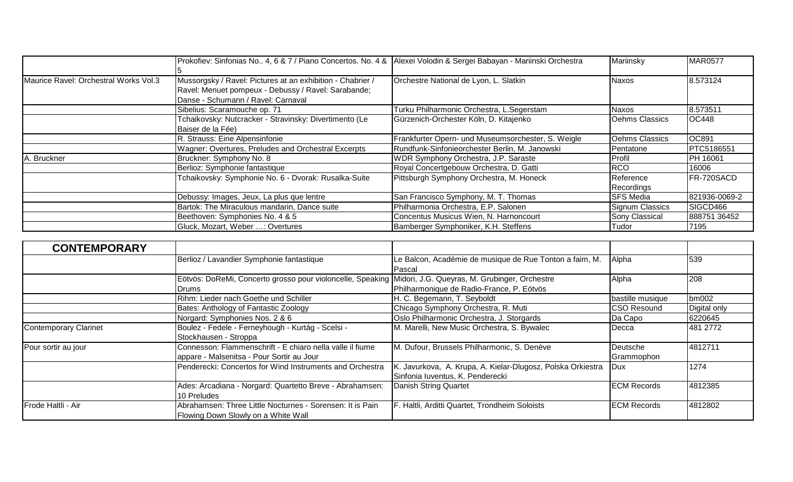|                                       | Prokofiev: Sinfonias No., 4, 6 & 7 / Piano Concertos. No. 4 & Alexei Volodin & Sergei Babayan - Mariinski Orchestra                                     |                                                    | Mariinsky               | <b>MAR0577</b>    |
|---------------------------------------|---------------------------------------------------------------------------------------------------------------------------------------------------------|----------------------------------------------------|-------------------------|-------------------|
| Maurice Ravel: Orchestral Works Vol.3 | Mussorgsky / Ravel: Pictures at an exhibition - Chabrier /<br>Ravel: Menuet pompeux - Debussy / Ravel: Sarabande;<br>Danse - Schumann / Ravel: Carnaval | Orchestre National de Lyon, L. Slatkin             | <b>Naxos</b>            | 8.573124          |
|                                       | Sibelius: Scaramouche op. 71                                                                                                                            | Turku Philharmonic Orchestra, L.Segerstam          | Naxos                   | 8.573511          |
|                                       | Tchaikovsky: Nutcracker - Stravinsky: Divertimento (Le<br>Baiser de la Fée)                                                                             | Gürzenich-Orchester Köln, D. Kitajenko             | Oehms Classics          | <b>OC448</b>      |
|                                       | R. Strauss: Eine Alpensinfonie                                                                                                                          | Frankfurter Opern- und Museumsorchester, S. Weigle | Oehms Classics          | OC891             |
|                                       | Wagner: Overtures, Preludes and Orchestral Excerpts                                                                                                     | Rundfunk-Sinfonieorchester Berlin, M. Janowski     | Pentatone               | <b>PTC5186551</b> |
| A. Bruckner                           | Bruckner: Symphony No. 8                                                                                                                                | WDR Symphony Orchestra, J.P. Saraste               | Profil                  | PH 16061          |
|                                       | Berlioz: Symphonie fantastique                                                                                                                          | Royal Concertgebouw Orchestra, D. Gatti            | <b>RCO</b>              | 16006             |
|                                       | Tchaikovsky: Symphonie No. 6 - Dvorak: Rusalka-Suite                                                                                                    | Pittsburgh Symphony Orchestra, M. Honeck           | Reference<br>Recordings | FR-720SACD        |
|                                       | Debussy: Images, Jeux, La plus que lentre                                                                                                               | San Francisco Symphony, M. T. Thomas               | <b>SFS Media</b>        | 821936-0069-2     |
|                                       | Bartok: The Miraculous mandarin, Dance suite                                                                                                            | Philharmonia Orchestra, E.P. Salonen               | Signum Classics         | SIGCD466          |
|                                       | Beethoven: Symphonies No. 4 & 5                                                                                                                         | Concentus Musicus Wien, N. Harnoncourt             | <b>Sony Classical</b>   | 888751 36452      |
|                                       | Gluck, Mozart, Weber : Overtures                                                                                                                        | Bamberger Symphoniker, K.H. Steffens               | Tudor                   | 7195              |

| <b>CONTEMPORARY</b>          |                                                                                                                    |                                                                                                 |                        |              |
|------------------------------|--------------------------------------------------------------------------------------------------------------------|-------------------------------------------------------------------------------------------------|------------------------|--------------|
|                              | Berlioz / Lavandier Symphonie fantastique                                                                          | Le Balcon, Académie de musique de Rue Tonton a faim, M.<br>Pascal                               | Alpha                  | 539          |
|                              | Eötvös: DoReMi, Concerto grosso pour violoncelle, Speaking Midori, J.G. Queyras, M. Grubinger, Orchestre<br>IDrums | Philharmonique de Radio-France, P. Eötvös                                                       | Alpha                  | 208          |
|                              | Rihm: Lieder nach Goethe und Schiller                                                                              | H. C. Begemann, T. Seyboldt                                                                     | bastille musique       | bm002        |
|                              | Bates: Anthology of Fantastic Zoology                                                                              | Chicago Symphony Orchestra, R. Muti                                                             | CSO Resound            | Digital only |
|                              | Norgard: Symphonies Nos. 2 & 6                                                                                     | Oslo Philharmonic Orchestra, J. Storgards                                                       | Da Capo                | 6220645      |
| <b>Contemporary Clarinet</b> | Boulez - Fedele - Ferneyhough - Kurtág - Scelsi -<br>Stockhausen - Stroppa                                         | M. Marelli, New Music Orchestra, S. Bywalec                                                     | Decca                  | 481 2772     |
| Pour sortir au jour          | Connesson: Flammenschrift - E chiaro nella valle il fiume<br>appare - Malsenitsa - Pour Sortir au Jour             | M. Dufour, Brussels Philharmonic, S. Denève                                                     | Deutsche<br>Grammophon | 4812711      |
|                              | Penderecki: Concertos for Wind Instruments and Orchestra                                                           | K. Javurkova, A. Krupa, A. Kielar-Dlugosz, Polska Orkiestra<br>Sinfonia Iuventus, K. Penderecki | <b>Dux</b>             | 1274         |
|                              | Ades: Arcadiana - Norgard: Quartetto Breve - Abrahamsen:<br>10 Preludes                                            | Danish String Quartet                                                                           | <b>ECM Records</b>     | 4812385      |
| Frode Haltli - Air           | Abrahamsen: Three Little Nocturnes - Sorensen: It is Pain<br>Flowing Down Slowly on a White Wall                   | F. Haltli, Arditti Quartet, Trondheim Soloists                                                  | <b>ECM Records</b>     | 4812802      |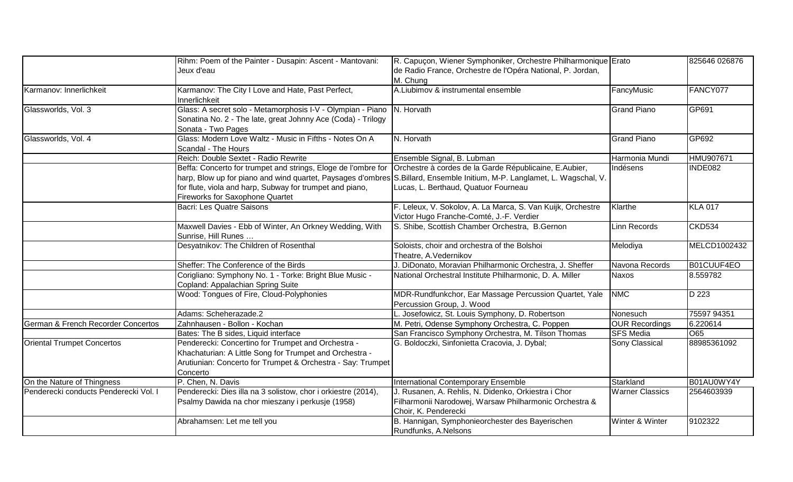|                                               | Rihm: Poem of the Painter - Dusapin: Ascent - Mantovani:<br>Jeux d'eau                                                                                                                   | R. Capuçon, Wiener Symphoniker, Orchestre Philharmonique Erato<br>de Radio France, Orchestre de l'Opéra National, P. Jordan,<br>M. Chung                                                                                   |                        | 825646 026876  |
|-----------------------------------------------|------------------------------------------------------------------------------------------------------------------------------------------------------------------------------------------|----------------------------------------------------------------------------------------------------------------------------------------------------------------------------------------------------------------------------|------------------------|----------------|
| Karmanov: Innerlichkeit                       | Karmanov: The City I Love and Hate, Past Perfect,<br>Innerlichkeit                                                                                                                       | A.Liubimov & instrumental ensemble                                                                                                                                                                                         | FancyMusic             | FANCY077       |
| Glassworlds, Vol. 3                           | Glass: A secret solo - Metamorphosis I-V - Olympian - Piano   N. Horvath<br>Sonatina No. 2 - The late, great Johnny Ace (Coda) - Trilogy<br>Sonata - Two Pages                           |                                                                                                                                                                                                                            | <b>Grand Piano</b>     | GP691          |
| Glassworlds, Vol. 4                           | Glass: Modern Love Waltz - Music in Fifths - Notes On A<br>Scandal - The Hours                                                                                                           | N. Horvath                                                                                                                                                                                                                 | <b>Grand Piano</b>     | GP692          |
|                                               | Reich: Double Sextet - Radio Rewrite                                                                                                                                                     | Ensemble Signal, B. Lubman                                                                                                                                                                                                 | Harmonia Mundi         | HMU907671      |
|                                               | Beffa: Concerto for trumpet and strings, Eloge de l'ombre for<br>for flute, viola and harp, Subway for trumpet and piano,<br><b>Fireworks for Saxophone Quartet</b>                      | Orchestre à cordes de la Garde Républicaine, E.Aubier,<br>harp, Blow up for piano and wind quartet, Paysages d'ombres S.Billard, Ensemble Initium, M-P. Langlamet, L. Wagschal, V.<br>Lucas, L. Berthaud, Quatuor Fourneau | Indésens               | INDE082        |
|                                               | <b>Bacri: Les Quatre Saisons</b>                                                                                                                                                         | F. Leleux, V. Sokolov, A. La Marca, S. Van Kuijk, Orchestre<br>Victor Hugo Franche-Comté, J.-F. Verdier                                                                                                                    | Klarthe                | <b>KLA 017</b> |
|                                               | Maxwell Davies - Ebb of Winter, An Orkney Wedding, With<br>Sunrise, Hill Runes                                                                                                           | S. Shibe, Scottish Chamber Orchestra, B.Gernon                                                                                                                                                                             | Linn Records           | CKD534         |
|                                               | Desyatnikov: The Children of Rosenthal                                                                                                                                                   | Soloists, choir and orchestra of the Bolshoi<br>Theatre, A.Vedernikov                                                                                                                                                      | Melodiya               | MELCD1002432   |
|                                               | Sheffer: The Conference of the Birds                                                                                                                                                     | J. DiDonato, Moravian Philharmonic Orchestra, J. Sheffer                                                                                                                                                                   | Navona Records         | B01CUUF4EO     |
|                                               | Corigliano: Symphony No. 1 - Torke: Bright Blue Music -<br>Copland: Appalachian Spring Suite                                                                                             | National Orchestral Institute Philharmonic, D. A. Miller                                                                                                                                                                   | <b>Naxos</b>           | 8.559782       |
|                                               | Wood: Tongues of Fire, Cloud-Polyphonies                                                                                                                                                 | MDR-Rundfunkchor, Ear Massage Percussion Quartet, Yale<br>Percussion Group, J. Wood                                                                                                                                        | <b>NMC</b>             | D 223          |
|                                               | Adams: Scheherazade.2                                                                                                                                                                    | L. Josefowicz, St. Louis Symphony, D. Robertson                                                                                                                                                                            | Nonesuch               | 75597 94351    |
| <b>German &amp; French Recorder Concertos</b> | Zahnhausen - Bollon - Kochan                                                                                                                                                             | M. Petri, Odense Symphony Orchestra, C. Poppen                                                                                                                                                                             | <b>OUR Recordings</b>  | 6.220614       |
|                                               | Bates: The B sides, Liquid interface                                                                                                                                                     | San Francisco Symphony Orchestra, M. Tilson Thomas                                                                                                                                                                         | <b>SFS Media</b>       | O65            |
| <b>Oriental Trumpet Concertos</b>             | Penderecki: Concertino for Trumpet and Orchestra -<br>Khachaturian: A Little Song for Trumpet and Orchestra -<br>Arutiunian: Concerto for Trumpet & Orchestra - Say: Trumpet<br>Concerto | G. Boldoczki, Sinfonietta Cracovia, J. Dybal;                                                                                                                                                                              | Sony Classical         | 88985361092    |
| On the Nature of Thingness                    | P. Chen, N. Davis                                                                                                                                                                        | International Contemporary Ensemble                                                                                                                                                                                        | Starkland              | B01AU0WY4Y     |
| Penderecki conducts Penderecki Vol. I         | Penderecki: Dies illa na 3 solistow, chor i orkiestre (2014),<br>Psalmy Dawida na chor mieszany i perkusje (1958)                                                                        | J. Rusanen, A. Rehlis, N. Didenko, Orkiestra i Chor<br>Filharmonii Narodowej, Warsaw Philharmonic Orchestra &<br>Choir, K. Penderecki                                                                                      | <b>Warner Classics</b> | 2564603939     |
|                                               | Abrahamsen: Let me tell you                                                                                                                                                              | B. Hannigan, Symphonieorchester des Bayerischen<br>Rundfunks, A.Nelsons                                                                                                                                                    | Winter & Winter        | 9102322        |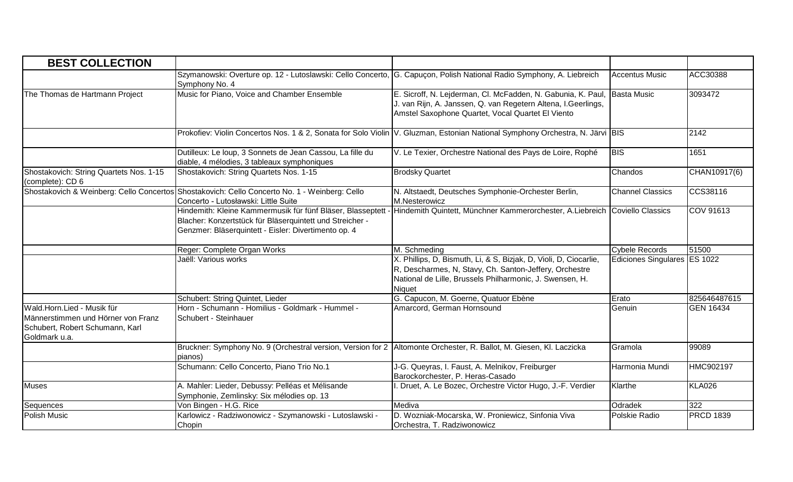| <b>BEST COLLECTION</b>                                                                                               |                                                                                                                                                                                |                                                                                                                                                                                                   |                              |                  |
|----------------------------------------------------------------------------------------------------------------------|--------------------------------------------------------------------------------------------------------------------------------------------------------------------------------|---------------------------------------------------------------------------------------------------------------------------------------------------------------------------------------------------|------------------------------|------------------|
|                                                                                                                      | Szymanowski: Overture op. 12 - Lutoslawski: Cello Concerto, G. Capuçon, Polish National Radio Symphony, A. Liebreich<br>Symphony No. 4                                         |                                                                                                                                                                                                   | <b>Accentus Music</b>        | ACC30388         |
| The Thomas de Hartmann Project                                                                                       | Music for Piano, Voice and Chamber Ensemble                                                                                                                                    | E. Sicroff, N. Lejderman, Cl. McFadden, N. Gabunia, K. Paul, Basta Music<br>J. van Rijn, A. Janssen, Q. van Regetern Altena, I.Geerlings,<br>Amstel Saxophone Quartet, Vocal Quartet El Viento    |                              | 3093472          |
|                                                                                                                      |                                                                                                                                                                                | Prokofiev: Violin Concertos Nos. 1 & 2, Sonata for Solo Violin V. Gluzman, Estonian National Symphony Orchestra, N. Järvi BIS                                                                     |                              | 2142             |
|                                                                                                                      | Dutilleux: Le loup, 3 Sonnets de Jean Cassou, La fille du<br>diable, 4 mélodies, 3 tableaux symphoniques                                                                       | V. Le Texier, Orchestre National des Pays de Loire, Rophé                                                                                                                                         | <b>BIS</b>                   | 1651             |
| Shostakovich: String Quartets Nos. 1-15<br>(complete): CD 6                                                          | Shostakovich: String Quartets Nos. 1-15                                                                                                                                        | <b>Brodsky Quartet</b>                                                                                                                                                                            | Chandos                      | CHAN10917(6)     |
|                                                                                                                      | Shostakovich & Weinberg: Cello Concertos Shostakovich: Cello Concerto No. 1 - Weinberg: Cello<br>Concerto - Lutosławski: Little Suite                                          | N. Altstaedt, Deutsches Symphonie-Orchester Berlin,<br>M.Nesterowicz                                                                                                                              | <b>Channel Classics</b>      | CCS38116         |
|                                                                                                                      | Hindemith: Kleine Kammermusik für fünf Bläser, Blasseptett<br>Blacher: Konzertstück für Bläserquintett und Streicher -<br>Genzmer: Bläserquintett - Eisler: Divertimento op. 4 | Hindemith Quintett, Münchner Kammerorchester, A.Liebreich Coviello Classics                                                                                                                       |                              | COV 91613        |
|                                                                                                                      | Reger: Complete Organ Works                                                                                                                                                    | M. Schmeding                                                                                                                                                                                      | <b>Cybele Records</b>        | 51500            |
|                                                                                                                      | Jaëll: Various works                                                                                                                                                           | X. Phillips, D, Bismuth, Li, & S, Bizjak, D, Violi, D, Ciocarlie,<br>R, Descharmes, N, Stavy, Ch. Santon-Jeffery, Orchestre<br>National de Lille, Brussels Philharmonic, J. Swensen, H.<br>Niquet | Ediciones Singulares ES 1022 |                  |
|                                                                                                                      | Schubert: String Quintet, Lieder                                                                                                                                               | G. Capucon, M. Goerne, Quatuor Ebène                                                                                                                                                              | Erato                        | 825646487615     |
| Wald.Horn.Lied - Musik für<br>Männerstimmen und Hörner von Franz<br>Schubert, Robert Schumann, Karl<br>Goldmark u.a. | Horn - Schumann - Homilius - Goldmark - Hummel -<br>Schubert - Steinhauer                                                                                                      | Amarcord, German Hornsound                                                                                                                                                                        | Genuin                       | <b>GEN 16434</b> |
|                                                                                                                      | Bruckner: Symphony No. 9 (Orchestral version, Version for 2 Altomonte Orchester, R. Ballot, M. Giesen, Kl. Laczicka<br>pianos)                                                 |                                                                                                                                                                                                   | Gramola                      | 99089            |
|                                                                                                                      | Schumann: Cello Concerto, Piano Trio No.1                                                                                                                                      | J-G. Queyras, I. Faust, A. Melnikov, Freiburger<br>Barockorchester, P. Heras-Casado                                                                                                               | Harmonia Mundi               | HMC902197        |
| <b>Muses</b>                                                                                                         | A. Mahler: Lieder, Debussy: Pelléas et Mélisande<br>Symphonie, Zemlinsky: Six mélodies op. 13                                                                                  | . Druet, A. Le Bozec, Orchestre Victor Hugo, J.-F. Verdier                                                                                                                                        | Klarthe                      | <b>KLA026</b>    |
| Sequences                                                                                                            | Von Bingen - H.G. Rice                                                                                                                                                         | Mediva                                                                                                                                                                                            | Odradek                      | 322              |
| Polish Music                                                                                                         | Karlowicz - Radziwonowicz - Szymanowski - Lutoslawski -<br>Chopin                                                                                                              | D. Wozniak-Mocarska, W. Proniewicz, Sinfonia Viva<br>Orchestra, T. Radziwonowicz                                                                                                                  | Polskie Radio                | <b>PRCD 1839</b> |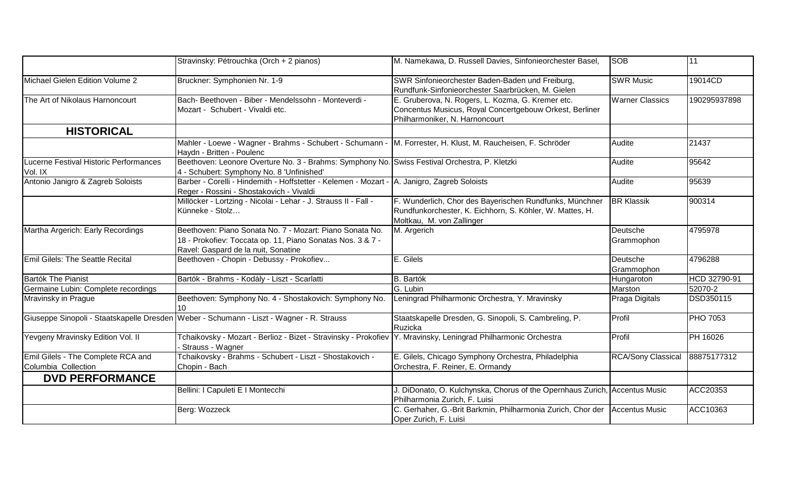|                                                           | Stravinsky: Pétrouchka (Orch + 2 pianos)                                                                                                                      | M. Namekawa, D. Russell Davies, Sinfonieorchester Basel,                                                                                         | <b>SOB</b>                | 11              |
|-----------------------------------------------------------|---------------------------------------------------------------------------------------------------------------------------------------------------------------|--------------------------------------------------------------------------------------------------------------------------------------------------|---------------------------|-----------------|
| Michael Gielen Edition Volume 2                           | Bruckner: Symphonien Nr. 1-9                                                                                                                                  | SWR Sinfonieorchester Baden-Baden und Freiburg,<br>Rundfunk-Sinfonieorchester Saarbrücken, M. Gielen                                             | <b>SWR Music</b>          | 19014CD         |
| The Art of Nikolaus Harnoncourt                           | Bach- Beethoven - Biber - Mendelssohn - Monteverdi -<br>Mozart - Schubert - Vivaldi etc.                                                                      | E. Gruberova, N. Rogers, L. Kozma, G. Kremer etc.<br>Concentus Musicus, Royal Concertgebouw Orkest, Berliner<br>Philharmoniker, N. Harnoncourt   | <b>Warner Classics</b>    | 190295937898    |
| <b>HISTORICAL</b>                                         |                                                                                                                                                               |                                                                                                                                                  |                           |                 |
|                                                           | Mahler - Loewe - Wagner - Brahms - Schubert - Schumann - <sup>I</sup> M. Forrester, H. Klust, M. Raucheisen, F. Schröder<br>Haydn - Britten - Poulenc         |                                                                                                                                                  | Audite                    | 21437           |
| Lucerne Festival Historic Performances<br>Vol. IX         | Beethoven: Leonore Overture No. 3 - Brahms: Symphony No. Swiss Festival Orchestra, P. Kletzki<br>4 - Schubert: Symphony No. 8 'Unfinished'                    |                                                                                                                                                  | Audite                    | 95642           |
| Antonio Janigro & Zagreb Soloists                         | Barber - Corelli - Hindemith - Hoffstetter - Kelemen - Mozart - A. Janigro, Zagreb Soloists<br>Reger - Rossini - Shostakovich - Vivaldi                       |                                                                                                                                                  | Audite                    | 95639           |
|                                                           | Millöcker - Lortzing - Nicolai - Lehar - J. Strauss II - Fall -<br>Künneke - Stolz                                                                            | F. Wunderlich, Chor des Bayerischen Rundfunks, Münchner<br>Rundfunkorchester, K. Eichhorn, S. Köhler, W. Mattes, H.<br>Moltkau, M. von Zallinger | <b>BR Klassik</b>         | 900314          |
| Martha Argerich: Early Recordings                         | Beethoven: Piano Sonata No. 7 - Mozart: Piano Sonata No.<br>18 - Prokofiev: Toccata op. 11, Piano Sonatas Nos. 3 & 7 -<br>Ravel: Gaspard de la nuit, Sonatine | M. Argerich                                                                                                                                      | Deutsche<br>Grammophon    | 4795978         |
| Emil Gilels: The Seattle Recital                          | Beethoven - Chopin - Debussy - Prokofiev                                                                                                                      | E. Gilels                                                                                                                                        | Deutsche<br>Grammophon    | 4796288         |
| <b>Bartók The Pianist</b>                                 | Bartók - Brahms - Kodály - Liszt - Scarlatti                                                                                                                  | <b>B.</b> Bartók                                                                                                                                 | Hungaroton                | HCD 32790-91    |
| Germaine Lubin: Complete recordings                       |                                                                                                                                                               | G. Lubin                                                                                                                                         | Marston                   | 52070-2         |
| Mravinsky in Prague                                       | Beethoven: Symphony No. 4 - Shostakovich: Symphony No.<br>10                                                                                                  | Leningrad Philharmonic Orchestra, Y. Mravinsky                                                                                                   | Praga Digitals            | DSD350115       |
|                                                           | Giuseppe Sinopoli - Staatskapelle Dresden Weber - Schumann - Liszt - Wagner - R. Strauss                                                                      | Staatskapelle Dresden, G. Sinopoli, S. Cambreling, P.<br>Ruzicka                                                                                 | Profil                    | <b>PHO 7053</b> |
| Yevgeny Mravinsky Edition Vol. II                         | Tchaikovsky - Mozart - Berlioz - Bizet - Stravinsky - Prokofiev   Y. Mravinsky, Leningrad Philharmonic Orchestra<br>Strauss - Wagner                          |                                                                                                                                                  | Profil                    | PH 16026        |
| Emil Gilels - The Complete RCA and<br>Columbia Collection | Tchaikovsky - Brahms - Schubert - Liszt - Shostakovich -<br>Chopin - Bach                                                                                     | E. Gilels, Chicago Symphony Orchestra, Philadelphia<br>Orchestra, F. Reiner, E. Ormandy                                                          | <b>RCA/Sony Classical</b> | 88875177312     |
| <b>DVD PERFORMANCE</b>                                    |                                                                                                                                                               |                                                                                                                                                  |                           |                 |
|                                                           | Bellini: I Capuleti E I Montecchi                                                                                                                             | J. DiDonato, O. Kulchynska, Chorus of the Opernhaus Zurich, Accentus Music<br>Philharmonia Zurich, F. Luisi                                      |                           | ACC20353        |
|                                                           | Berg: Wozzeck                                                                                                                                                 | C. Gerhaher, G.-Brit Barkmin, Philharmonia Zurich, Chor der Accentus Music<br>Oper Zurich, F. Luisi                                              |                           | ACC10363        |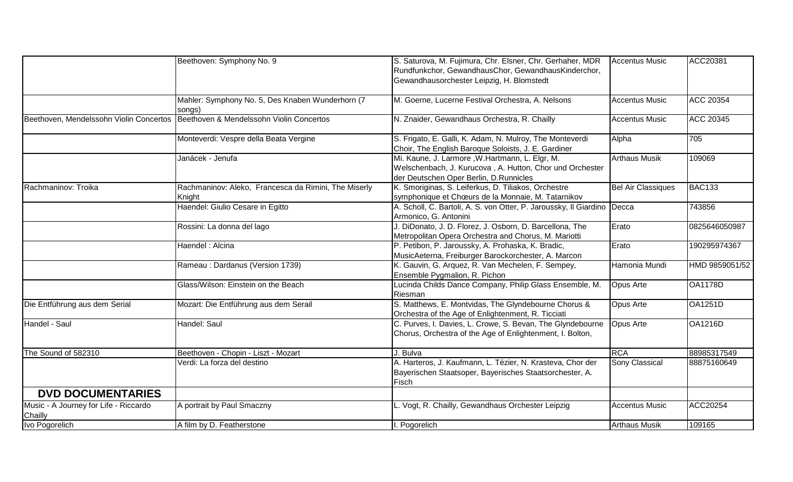|                                                  | Beethoven: Symphony No. 9                                      | S. Saturova, M. Fujimura, Chr. Elsner, Chr. Gerhaher, MDR                                                                                            | <b>Accentus Music</b>     | ACC20381         |
|--------------------------------------------------|----------------------------------------------------------------|------------------------------------------------------------------------------------------------------------------------------------------------------|---------------------------|------------------|
|                                                  |                                                                | Rundfunkchor, GewandhausChor, GewandhausKinderchor,                                                                                                  |                           |                  |
|                                                  |                                                                | Gewandhausorchester Leipzig, H. Blomstedt                                                                                                            |                           |                  |
|                                                  | Mahler: Symphony No. 5, Des Knaben Wunderhorn (7               | M. Goerne, Lucerne Festival Orchestra, A. Nelsons                                                                                                    | <b>Accentus Music</b>     | <b>ACC 20354</b> |
|                                                  | songs)                                                         |                                                                                                                                                      |                           |                  |
| Beethoven, Mendelssohn Violin Concertos          | Beethoven & Mendelssohn Violin Concertos                       | N. Znaider, Gewandhaus Orchestra, R. Chailly                                                                                                         | <b>Accentus Music</b>     | <b>ACC 20345</b> |
|                                                  | Monteverdi: Vespre della Beata Vergine                         | S. Frigato, E. Galli, K. Adam, N. Mulroy, The Monteverdi<br>Choir, The English Baroque Soloists, J. E. Gardiner                                      | Alpha                     | 705              |
|                                                  | Janácek - Jenufa                                               | Mi. Kaune, J. Larmore, W.Hartmann, L. Elgr, M.<br>Welschenbach, J. Kurucova, A. Hutton, Chor und Orchester<br>der Deutschen Oper Berlin, D.Runnicles | <b>Arthaus Musik</b>      | 109069           |
| Rachmaninov: Troika                              | Rachmaninov: Aleko, Francesca da Rimini, The Miserly<br>Knight | K. Smoriginas, S. Leiferkus, D. Tiliakos, Orchestre<br>symphonique et Chœurs de la Monnaie, M. Tatarnikov                                            | <b>Bel Air Classiques</b> | <b>BAC133</b>    |
|                                                  | Haendel: Giulio Cesare in Egitto                               | A. Scholl, C. Bartoli, A. S. von Otter, P. Jaroussky, Il Giardino Decca<br>Armonico, G. Antonini                                                     |                           | 743856           |
|                                                  | Rossini: La donna del lago                                     | J. DiDonato, J. D. Florez, J. Osborn, D. Barcellona, The<br>Metropolitan Opera Orchestra and Chorus, M. Mariotti                                     | Erato                     | 0825646050987    |
|                                                  | Haendel : Alcina                                               | P. Petibon, P. Jaroussky, A. Prohaska, K. Bradic,<br>MusicAeterna, Freiburger Barockorchester, A. Marcon                                             | Erato                     | 190295974367     |
|                                                  | Rameau: Dardanus (Version 1739)                                | K. Gauvin, G. Arquez, R. Van Mechelen, F. Sempey,<br>Ensemble Pygmalion, R. Pichon                                                                   | Hamonia Mundi             | HMD 9859051/52   |
|                                                  | Glass/Wilson: Einstein on the Beach                            | Lucinda Childs Dance Company, Philip Glass Ensemble, M.<br>Riesman                                                                                   | <b>Opus Arte</b>          | <b>OA1178D</b>   |
| Die Entführung aus dem Serial                    | Mozart: Die Entführung aus dem Serail                          | S. Matthews, E. Montvidas, The Glyndebourne Chorus &<br>Orchestra of the Age of Enlightenment, R. Ticciati                                           | Opus Arte                 | <b>OA1251D</b>   |
| Handel - Saul                                    | Handel: Saul                                                   | C. Purves, I. Davies, L. Crowe, S. Bevan, The Glyndebourne<br>Chorus, Orchestra of the Age of Enlightenment, I. Bolton,                              | <b>Opus Arte</b>          | <b>OA1216D</b>   |
| The Sound of 582310                              | Beethoven - Chopin - Liszt - Mozart                            | J. Bulva                                                                                                                                             | <b>RCA</b>                | 88985317549      |
|                                                  | Verdi: La forza del destino                                    | A. Harteros, J. Kaufmann, L. Tézier, N. Krasteva, Chor der<br>Bayerischen Staatsoper, Bayerisches Staatsorchester, A.<br>Fisch                       | <b>Sony Classical</b>     | 88875160649      |
| <b>DVD DOCUMENTARIES</b>                         |                                                                |                                                                                                                                                      |                           |                  |
| Music - A Journey for Life - Riccardo<br>Chailly | A portrait by Paul Smaczny                                     | L. Vogt, R. Chailly, Gewandhaus Orchester Leipzig                                                                                                    | <b>Accentus Music</b>     | ACC20254         |
| Ivo Pogorelich                                   | A film by D. Featherstone                                      | . Pogorelich                                                                                                                                         | <b>Arthaus Musik</b>      | 109165           |